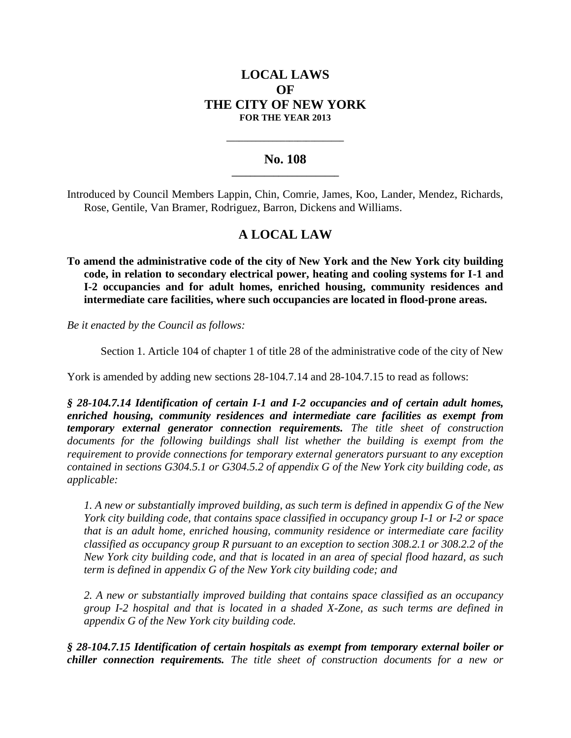# **LOCAL LAWS OF THE CITY OF NEW YORK FOR THE YEAR 2013**

## **No. 108 \_\_\_\_\_\_\_\_\_\_\_\_\_\_\_\_\_\_\_\_\_\_\_**

**\_\_\_\_\_\_\_\_\_\_\_\_\_\_\_\_\_\_\_\_\_\_\_\_\_\_\_\_**

Introduced by Council Members Lappin, Chin, Comrie, James, Koo, Lander, Mendez, Richards, Rose, Gentile, Van Bramer, Rodriguez, Barron, Dickens and Williams.

# **A LOCAL LAW**

**To amend the administrative code of the city of New York and the New York city building code, in relation to secondary electrical power, heating and cooling systems for I-1 and I-2 occupancies and for adult homes, enriched housing, community residences and intermediate care facilities, where such occupancies are located in flood-prone areas.**

*Be it enacted by the Council as follows:*

Section 1. Article 104 of chapter 1 of title 28 of the administrative code of the city of New

York is amended by adding new sections 28-104.7.14 and 28-104.7.15 to read as follows:

*§ 28-104.7.14 Identification of certain I-1 and I-2 occupancies and of certain adult homes, enriched housing, community residences and intermediate care facilities as exempt from temporary external generator connection requirements. The title sheet of construction documents for the following buildings shall list whether the building is exempt from the requirement to provide connections for temporary external generators pursuant to any exception contained in sections G304.5.1 or G304.5.2 of appendix G of the New York city building code, as applicable:*

*1. A new or substantially improved building, as such term is defined in appendix G of the New York city building code, that contains space classified in occupancy group I-1 or I-2 or space that is an adult home, enriched housing, community residence or intermediate care facility classified as occupancy group R pursuant to an exception to section 308.2.1 or 308.2.2 of the New York city building code, and that is located in an area of special flood hazard, as such term is defined in appendix G of the New York city building code; and*

*2. A new or substantially improved building that contains space classified as an occupancy group I-2 hospital and that is located in a shaded X-Zone, as such terms are defined in appendix G of the New York city building code.* 

*§ 28-104.7.15 Identification of certain hospitals as exempt from temporary external boiler or chiller connection requirements. The title sheet of construction documents for a new or*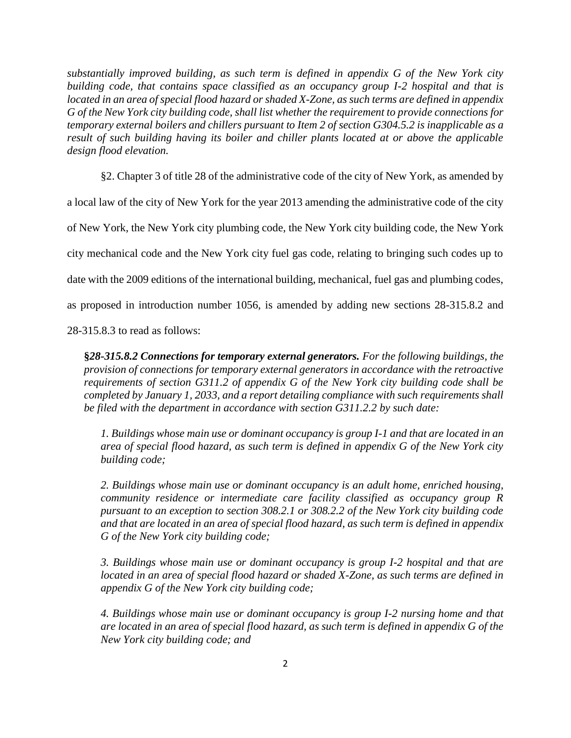*substantially improved building, as such term is defined in appendix G of the New York city building code, that contains space classified as an occupancy group I-2 hospital and that is located in an area of special flood hazard or shaded X-Zone, as such terms are defined in appendix G of the New York city building code, shall list whether the requirement to provide connections for temporary external boilers and chillers pursuant to Item 2 of section G304.5.2 is inapplicable as a result of such building having its boiler and chiller plants located at or above the applicable design flood elevation.*

§2. Chapter 3 of title 28 of the administrative code of the city of New York, as amended by a local law of the city of New York for the year 2013 amending the administrative code of the city of New York, the New York city plumbing code, the New York city building code, the New York city mechanical code and the New York city fuel gas code, relating to bringing such codes up to date with the 2009 editions of the international building, mechanical, fuel gas and plumbing codes, as proposed in introduction number 1056, is amended by adding new sections 28-315.8.2 and

28-315.8.3 to read as follows:

**§***28-315.8.2 Connections for temporary external generators. For the following buildings, the provision of connections for temporary external generators in accordance with the retroactive requirements of section G311.2 of appendix G of the New York city building code shall be completed by January 1, 2033, and a report detailing compliance with such requirements shall be filed with the department in accordance with section G311.2.2 by such date:* 

*1. Buildings whose main use or dominant occupancy is group I-1 and that are located in an area of special flood hazard, as such term is defined in appendix G of the New York city building code;*

*2. Buildings whose main use or dominant occupancy is an adult home, enriched housing, community residence or intermediate care facility classified as occupancy group R pursuant to an exception to section 308.2.1 or 308.2.2 of the New York city building code and that are located in an area of special flood hazard, as such term is defined in appendix G of the New York city building code;*

*3. Buildings whose main use or dominant occupancy is group I-2 hospital and that are located in an area of special flood hazard or shaded X-Zone, as such terms are defined in appendix G of the New York city building code;*

*4. Buildings whose main use or dominant occupancy is group I-2 nursing home and that are located in an area of special flood hazard, as such term is defined in appendix G of the New York city building code; and*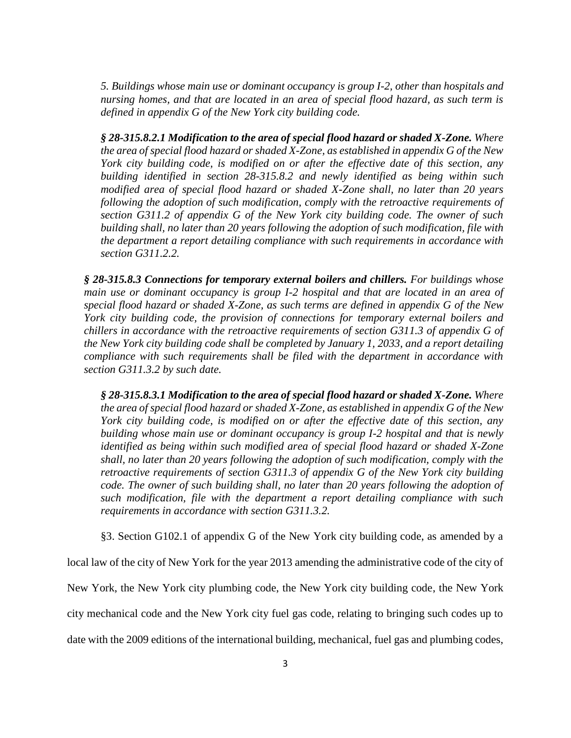*5. Buildings whose main use or dominant occupancy is group I-2, other than hospitals and nursing homes, and that are located in an area of special flood hazard, as such term is defined in appendix G of the New York city building code.*

*§ 28-315.8.2.1 Modification to the area of special flood hazard or shaded X-Zone. Where the area of special flood hazard or shaded X-Zone, as established in appendix G of the New York city building code, is modified on or after the effective date of this section, any building identified in section 28-315.8.2 and newly identified as being within such modified area of special flood hazard or shaded X-Zone shall, no later than 20 years following the adoption of such modification, comply with the retroactive requirements of section G311.2 of appendix G of the New York city building code. The owner of such building shall, no later than 20 years following the adoption of such modification, file with the department a report detailing compliance with such requirements in accordance with section G311.2.2.*

*§ 28-315.8.3 Connections for temporary external boilers and chillers. For buildings whose main use or dominant occupancy is group I-2 hospital and that are located in an area of special flood hazard or shaded X-Zone, as such terms are defined in appendix G of the New York city building code, the provision of connections for temporary external boilers and chillers in accordance with the retroactive requirements of section G311.3 of appendix G of the New York city building code shall be completed by January 1, 2033, and a report detailing compliance with such requirements shall be filed with the department in accordance with section G311.3.2 by such date.* 

*§ 28-315.8.3.1 Modification to the area of special flood hazard or shaded X-Zone. Where the area of special flood hazard or shaded X-Zone, as established in appendix G of the New York city building code, is modified on or after the effective date of this section, any building whose main use or dominant occupancy is group I-2 hospital and that is newly identified as being within such modified area of special flood hazard or shaded X-Zone shall, no later than 20 years following the adoption of such modification, comply with the retroactive requirements of section G311.3 of appendix G of the New York city building code. The owner of such building shall, no later than 20 years following the adoption of such modification, file with the department a report detailing compliance with such requirements in accordance with section G311.3.2.*

§3. Section G102.1 of appendix G of the New York city building code, as amended by a

local law of the city of New York for the year 2013 amending the administrative code of the city of New York, the New York city plumbing code, the New York city building code, the New York city mechanical code and the New York city fuel gas code, relating to bringing such codes up to date with the 2009 editions of the international building, mechanical, fuel gas and plumbing codes,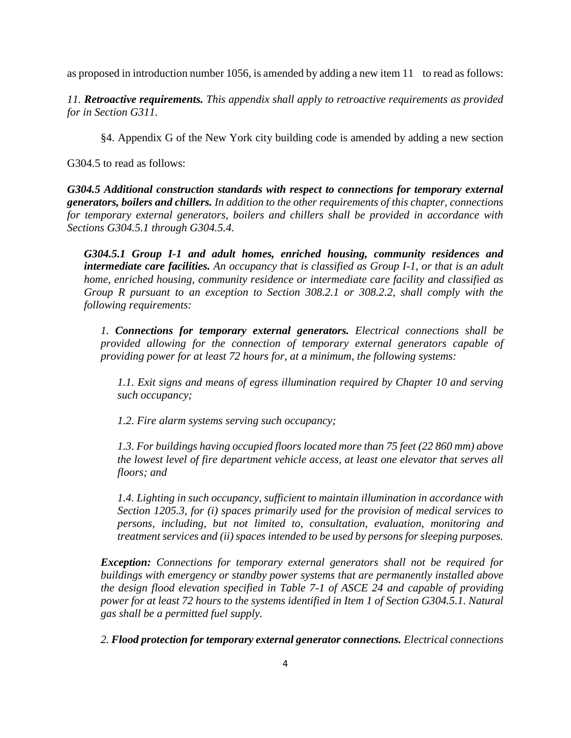as proposed in introduction number 1056, is amended by adding a new item 11 to read as follows:

*11. Retroactive requirements. This appendix shall apply to retroactive requirements as provided for in Section G311.*

§4. Appendix G of the New York city building code is amended by adding a new section

G304.5 to read as follows:

*G304.5 Additional construction standards with respect to connections for temporary external generators, boilers and chillers. In addition to the other requirements of this chapter, connections for temporary external generators, boilers and chillers shall be provided in accordance with Sections G304.5.1 through G304.5.4.* 

*G304.5.1 Group I-1 and adult homes, enriched housing, community residences and intermediate care facilities. An occupancy that is classified as Group I-1, or that is an adult home, enriched housing, community residence or intermediate care facility and classified as Group R pursuant to an exception to Section 308.2.1 or 308.2.2, shall comply with the following requirements:*

*1. Connections for temporary external generators. Electrical connections shall be provided allowing for the connection of temporary external generators capable of providing power for at least 72 hours for, at a minimum, the following systems:*

*1.1. Exit signs and means of egress illumination required by Chapter 10 and serving such occupancy;*

*1.2. Fire alarm systems serving such occupancy;*

*1.3. For buildings having occupied floors located more than 75 feet (22 860 mm) above the lowest level of fire department vehicle access, at least one elevator that serves all floors; and*

*1.4. Lighting in such occupancy, sufficient to maintain illumination in accordance with Section 1205.3, for (i) spaces primarily used for the provision of medical services to persons, including, but not limited to, consultation, evaluation, monitoring and treatment services and (ii) spaces intended to be used by persons for sleeping purposes.*

*Exception: Connections for temporary external generators shall not be required for buildings with emergency or standby power systems that are permanently installed above the design flood elevation specified in Table 7-1 of ASCE 24 and capable of providing power for at least 72 hours to the systems identified in Item 1 of Section G304.5.1. Natural gas shall be a permitted fuel supply.*

*2. Flood protection for temporary external generator connections. Electrical connections*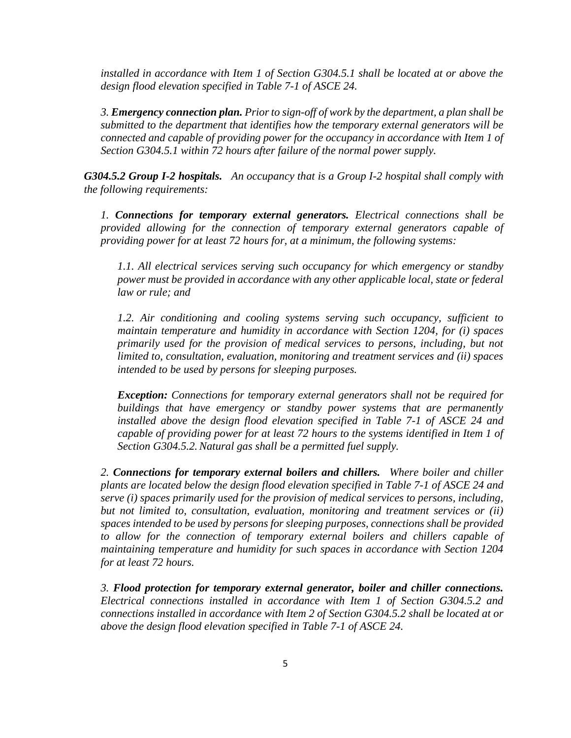*installed in accordance with Item 1 of Section G304.5.1 shall be located at or above the design flood elevation specified in Table 7-1 of ASCE 24.*

*3. Emergency connection plan. Prior to sign-off of work by the department, a plan shall be submitted to the department that identifies how the temporary external generators will be connected and capable of providing power for the occupancy in accordance with Item 1 of Section G304.5.1 within 72 hours after failure of the normal power supply.*

*G304.5.2 Group I-2 hospitals. An occupancy that is a Group I-2 hospital shall comply with the following requirements:*

*1. Connections for temporary external generators. Electrical connections shall be provided allowing for the connection of temporary external generators capable of providing power for at least 72 hours for, at a minimum, the following systems:*

*1.1. All electrical services serving such occupancy for which emergency or standby power must be provided in accordance with any other applicable local, state or federal law or rule; and*

*1.2. Air conditioning and cooling systems serving such occupancy, sufficient to maintain temperature and humidity in accordance with Section 1204, for (i) spaces primarily used for the provision of medical services to persons, including, but not limited to, consultation, evaluation, monitoring and treatment services and (ii) spaces intended to be used by persons for sleeping purposes.*

*Exception: Connections for temporary external generators shall not be required for buildings that have emergency or standby power systems that are permanently installed above the design flood elevation specified in Table 7-1 of ASCE 24 and capable of providing power for at least 72 hours to the systems identified in Item 1 of Section G304.5.2.Natural gas shall be a permitted fuel supply.*

*2. Connections for temporary external boilers and chillers. Where boiler and chiller plants are located below the design flood elevation specified in Table 7-1 of ASCE 24 and serve (i) spaces primarily used for the provision of medical services to persons, including, but not limited to, consultation, evaluation, monitoring and treatment services or (ii) spaces intended to be used by persons for sleeping purposes, connections shall be provided*  to allow for the connection of temporary external boilers and chillers capable of *maintaining temperature and humidity for such spaces in accordance with Section 1204 for at least 72 hours.*

*3. Flood protection for temporary external generator, boiler and chiller connections. Electrical connections installed in accordance with Item 1 of Section G304.5.2 and connections installed in accordance with Item 2 of Section G304.5.2 shall be located at or above the design flood elevation specified in Table 7-1 of ASCE 24.*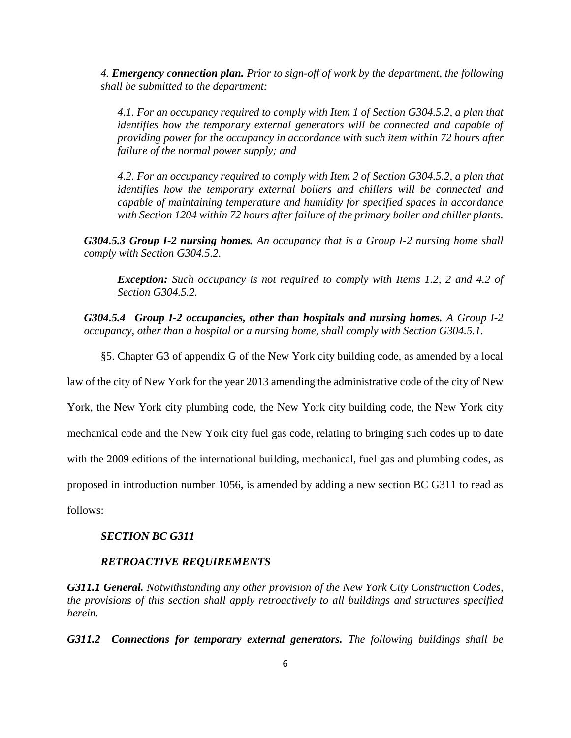*4. Emergency connection plan. Prior to sign-off of work by the department, the following shall be submitted to the department:*

*4.1. For an occupancy required to comply with Item 1 of Section G304.5.2, a plan that identifies how the temporary external generators will be connected and capable of providing power for the occupancy in accordance with such item within 72 hours after failure of the normal power supply; and*

*4.2. For an occupancy required to comply with Item 2 of Section G304.5.2, a plan that identifies how the temporary external boilers and chillers will be connected and capable of maintaining temperature and humidity for specified spaces in accordance with Section 1204 within 72 hours after failure of the primary boiler and chiller plants.*

*G304.5.3 Group I-2 nursing homes. An occupancy that is a Group I-2 nursing home shall comply with Section G304.5.2.*

*Exception: Such occupancy is not required to comply with Items 1.2, 2 and 4.2 of Section G304.5.2.*

*G304.5.4 Group I-2 occupancies, other than hospitals and nursing homes. A Group I-2 occupancy, other than a hospital or a nursing home, shall comply with Section G304.5.1.*

§5. Chapter G3 of appendix G of the New York city building code, as amended by a local

law of the city of New York for the year 2013 amending the administrative code of the city of New

York, the New York city plumbing code, the New York city building code, the New York city

mechanical code and the New York city fuel gas code, relating to bringing such codes up to date

with the 2009 editions of the international building, mechanical, fuel gas and plumbing codes, as

proposed in introduction number 1056, is amended by adding a new section BC G311 to read as

follows:

### *SECTION BC G311*

### *RETROACTIVE REQUIREMENTS*

*G311.1 General. Notwithstanding any other provision of the New York City Construction Codes, the provisions of this section shall apply retroactively to all buildings and structures specified herein.*

*G311.2 Connections for temporary external generators. The following buildings shall be*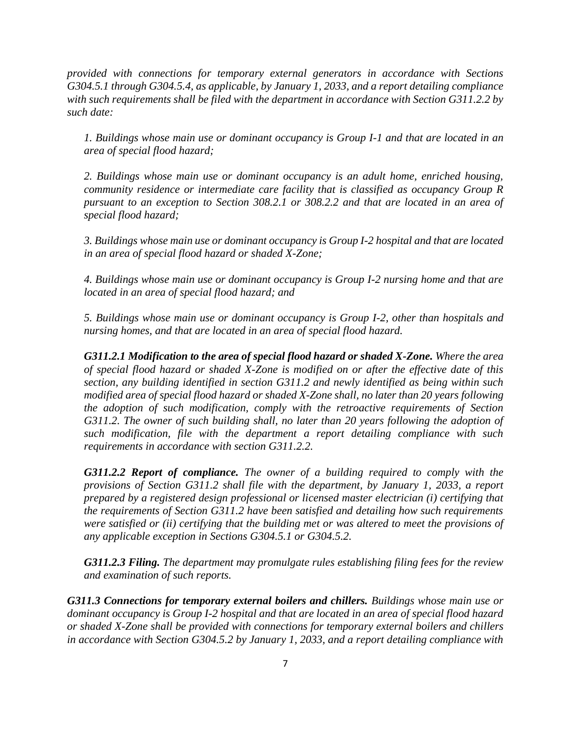*provided with connections for temporary external generators in accordance with Sections G304.5.1 through G304.5.4, as applicable, by January 1, 2033, and a report detailing compliance with such requirements shall be filed with the department in accordance with Section G311.2.2 by such date:*

*1. Buildings whose main use or dominant occupancy is Group I-1 and that are located in an area of special flood hazard;*

*2. Buildings whose main use or dominant occupancy is an adult home, enriched housing, community residence or intermediate care facility that is classified as occupancy Group R pursuant to an exception to Section 308.2.1 or 308.2.2 and that are located in an area of special flood hazard;*

*3. Buildings whose main use or dominant occupancy is Group I-2 hospital and that are located in an area of special flood hazard or shaded X-Zone;*

*4. Buildings whose main use or dominant occupancy is Group I-2 nursing home and that are located in an area of special flood hazard; and*

*5. Buildings whose main use or dominant occupancy is Group I-2, other than hospitals and nursing homes, and that are located in an area of special flood hazard.*

*G311.2.1 Modification to the area of special flood hazard or shaded X-Zone. Where the area of special flood hazard or shaded X-Zone is modified on or after the effective date of this section, any building identified in section G311.2 and newly identified as being within such modified area of special flood hazard or shaded X-Zone shall, no later than 20 years following the adoption of such modification, comply with the retroactive requirements of Section G311.2. The owner of such building shall, no later than 20 years following the adoption of such modification, file with the department a report detailing compliance with such requirements in accordance with section G311.2.2.* 

*G311.2.2 Report of compliance. The owner of a building required to comply with the provisions of Section G311.2 shall file with the department, by January 1, 2033, a report prepared by a registered design professional or licensed master electrician (i) certifying that the requirements of Section G311.2 have been satisfied and detailing how such requirements were satisfied or (ii) certifying that the building met or was altered to meet the provisions of any applicable exception in Sections G304.5.1 or G304.5.2.* 

*G311.2.3 Filing. The department may promulgate rules establishing filing fees for the review and examination of such reports.*

*G311.3 Connections for temporary external boilers and chillers. Buildings whose main use or dominant occupancy is Group I-2 hospital and that are located in an area of special flood hazard or shaded X-Zone shall be provided with connections for temporary external boilers and chillers in accordance with Section G304.5.2 by January 1, 2033, and a report detailing compliance with*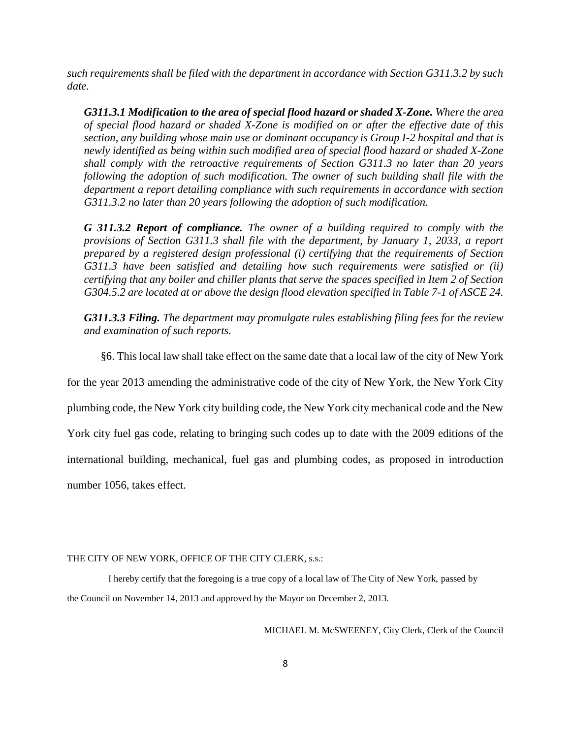*such requirements shall be filed with the department in accordance with Section G311.3.2 by such date.*

*G311.3.1 Modification to the area of special flood hazard or shaded X-Zone. Where the area of special flood hazard or shaded X-Zone is modified on or after the effective date of this section, any building whose main use or dominant occupancy is Group I-2 hospital and that is newly identified as being within such modified area of special flood hazard or shaded X-Zone shall comply with the retroactive requirements of Section G311.3 no later than 20 years following the adoption of such modification. The owner of such building shall file with the department a report detailing compliance with such requirements in accordance with section G311.3.2 no later than 20 years following the adoption of such modification.*

*G 311.3.2 Report of compliance. The owner of a building required to comply with the provisions of Section G311.3 shall file with the department, by January 1, 2033, a report prepared by a registered design professional (i) certifying that the requirements of Section G311.3 have been satisfied and detailing how such requirements were satisfied or (ii) certifying that any boiler and chiller plants that serve the spaces specified in Item 2 of Section G304.5.2 are located at or above the design flood elevation specified in Table 7-1 of ASCE 24.* 

*G311.3.3 Filing. The department may promulgate rules establishing filing fees for the review and examination of such reports.*

§6. This local law shall take effect on the same date that a local law of the city of New York

for the year 2013 amending the administrative code of the city of New York, the New York City

plumbing code, the New York city building code, the New York city mechanical code and the New

York city fuel gas code, relating to bringing such codes up to date with the 2009 editions of the

international building, mechanical, fuel gas and plumbing codes, as proposed in introduction

number 1056, takes effect.

#### THE CITY OF NEW YORK, OFFICE OF THE CITY CLERK, s.s.:

 I hereby certify that the foregoing is a true copy of a local law of The City of New York, passed by the Council on November 14, 2013 and approved by the Mayor on December 2, 2013.

MICHAEL M. McSWEENEY, City Clerk, Clerk of the Council